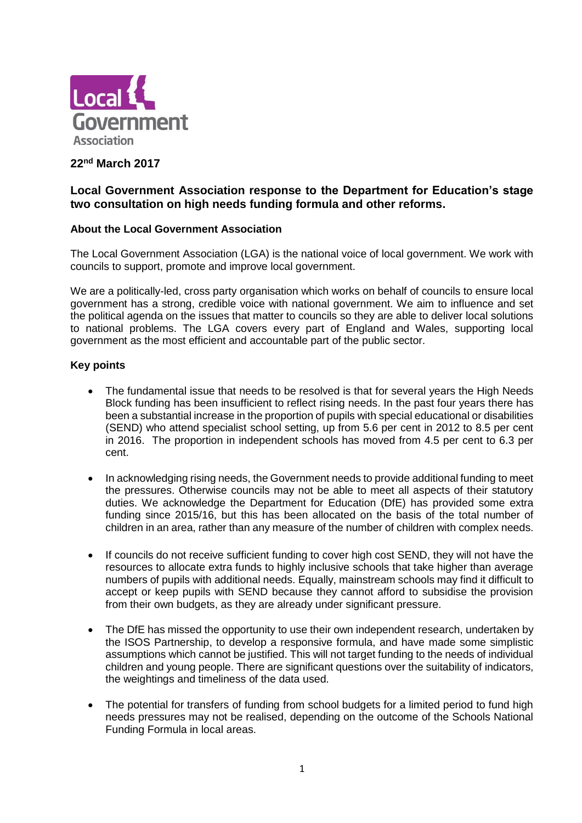

# **22nd March 2017**

# **Local Government Association response to the Department for Education's stage two consultation on high needs funding formula and other reforms.**

# **About the Local Government Association**

The Local Government Association (LGA) is the national voice of local government. We work with councils to support, promote and improve local government.

We are a politically-led, cross party organisation which works on behalf of councils to ensure local government has a strong, credible voice with national government. We aim to influence and set the political agenda on the issues that matter to councils so they are able to deliver local solutions to national problems. The LGA covers every part of England and Wales, supporting local government as the most efficient and accountable part of the public sector.

# **Key points**

- The fundamental issue that needs to be resolved is that for several years the High Needs Block funding has been insufficient to reflect rising needs. In the past four years there has been a substantial increase in the proportion of pupils with special educational or disabilities (SEND) who attend specialist school setting, up from 5.6 per cent in 2012 to 8.5 per cent in 2016. The proportion in independent schools has moved from 4.5 per cent to 6.3 per cent.
- In acknowledging rising needs, the Government needs to provide additional funding to meet the pressures. Otherwise councils may not be able to meet all aspects of their statutory duties. We acknowledge the Department for Education (DfE) has provided some extra funding since 2015/16, but this has been allocated on the basis of the total number of children in an area, rather than any measure of the number of children with complex needs.
- If councils do not receive sufficient funding to cover high cost SEND, they will not have the resources to allocate extra funds to highly inclusive schools that take higher than average numbers of pupils with additional needs. Equally, mainstream schools may find it difficult to accept or keep pupils with SEND because they cannot afford to subsidise the provision from their own budgets, as they are already under significant pressure.
- The DfE has missed the opportunity to use their own independent research, undertaken by the ISOS Partnership, to develop a responsive formula, and have made some simplistic assumptions which cannot be justified. This will not target funding to the needs of individual children and young people. There are significant questions over the suitability of indicators, the weightings and timeliness of the data used.
- The potential for transfers of funding from school budgets for a limited period to fund high needs pressures may not be realised, depending on the outcome of the Schools National Funding Formula in local areas.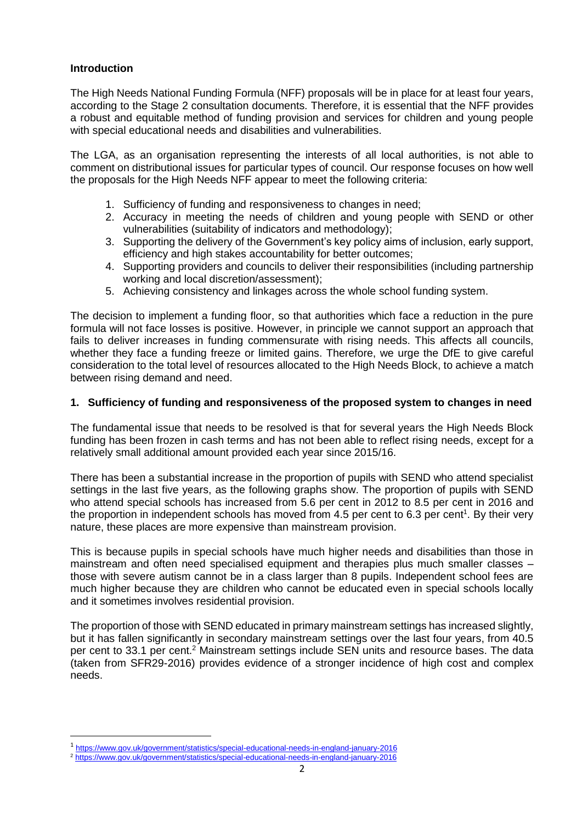# **Introduction**

1

The High Needs National Funding Formula (NFF) proposals will be in place for at least four years, according to the Stage 2 consultation documents. Therefore, it is essential that the NFF provides a robust and equitable method of funding provision and services for children and young people with special educational needs and disabilities and vulnerabilities.

The LGA, as an organisation representing the interests of all local authorities, is not able to comment on distributional issues for particular types of council. Our response focuses on how well the proposals for the High Needs NFF appear to meet the following criteria:

- 1. Sufficiency of funding and responsiveness to changes in need;
- 2. Accuracy in meeting the needs of children and young people with SEND or other vulnerabilities (suitability of indicators and methodology);
- 3. Supporting the delivery of the Government's key policy aims of inclusion, early support, efficiency and high stakes accountability for better outcomes;
- 4. Supporting providers and councils to deliver their responsibilities (including partnership working and local discretion/assessment);
- 5. Achieving consistency and linkages across the whole school funding system.

The decision to implement a funding floor, so that authorities which face a reduction in the pure formula will not face losses is positive. However, in principle we cannot support an approach that fails to deliver increases in funding commensurate with rising needs. This affects all councils, whether they face a funding freeze or limited gains. Therefore, we urge the DfE to give careful consideration to the total level of resources allocated to the High Needs Block, to achieve a match between rising demand and need.

# **1. Sufficiency of funding and responsiveness of the proposed system to changes in need**

The fundamental issue that needs to be resolved is that for several years the High Needs Block funding has been frozen in cash terms and has not been able to reflect rising needs, except for a relatively small additional amount provided each year since 2015/16.

There has been a substantial increase in the proportion of pupils with SEND who attend specialist settings in the last five years, as the following graphs show. The proportion of pupils with SEND who attend special schools has increased from 5.6 per cent in 2012 to 8.5 per cent in 2016 and the proportion in independent schools has moved from 4.5 per cent to 6.3 per cent<sup>1</sup>. By their very nature, these places are more expensive than mainstream provision.

This is because pupils in special schools have much higher needs and disabilities than those in mainstream and often need specialised equipment and therapies plus much smaller classes – those with severe autism cannot be in a class larger than 8 pupils. Independent school fees are much higher because they are children who cannot be educated even in special schools locally and it sometimes involves residential provision.

The proportion of those with SEND educated in primary mainstream settings has increased slightly, but it has fallen significantly in secondary mainstream settings over the last four years, from 40.5 per cent to 33.1 per cent.<sup>2</sup> Mainstream settings include SEN units and resource bases. The data (taken from SFR29-2016) provides evidence of a stronger incidence of high cost and complex needs.

<sup>1</sup> <https://www.gov.uk/government/statistics/special-educational-needs-in-england-january-2016>

<sup>2</sup> <https://www.gov.uk/government/statistics/special-educational-needs-in-england-january-2016>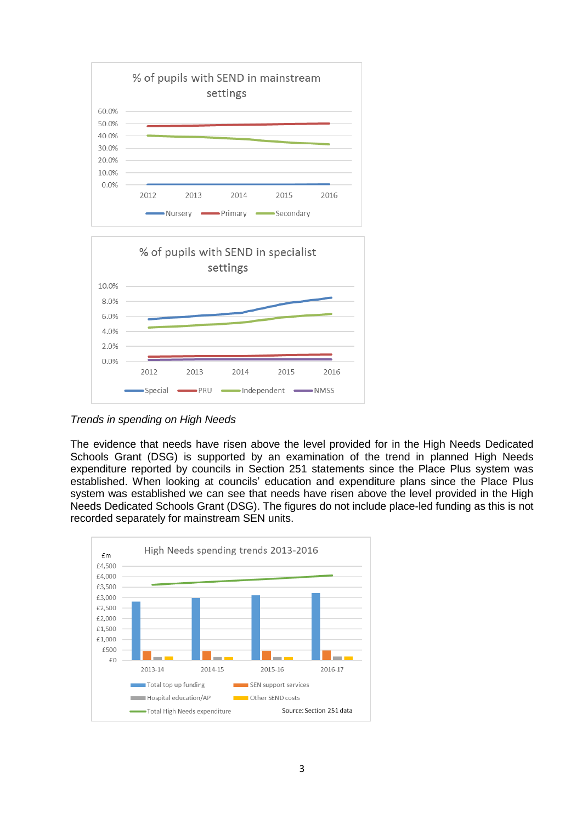

*Trends in spending on High Needs*

The evidence that needs have risen above the level provided for in the High Needs Dedicated Schools Grant (DSG) is supported by an examination of the trend in planned High Needs expenditure reported by councils in Section 251 statements since the Place Plus system was established. When looking at councils' education and expenditure plans since the Place Plus system was established we can see that needs have risen above the level provided in the High Needs Dedicated Schools Grant (DSG). The figures do not include place-led funding as this is not recorded separately for mainstream SEN units.

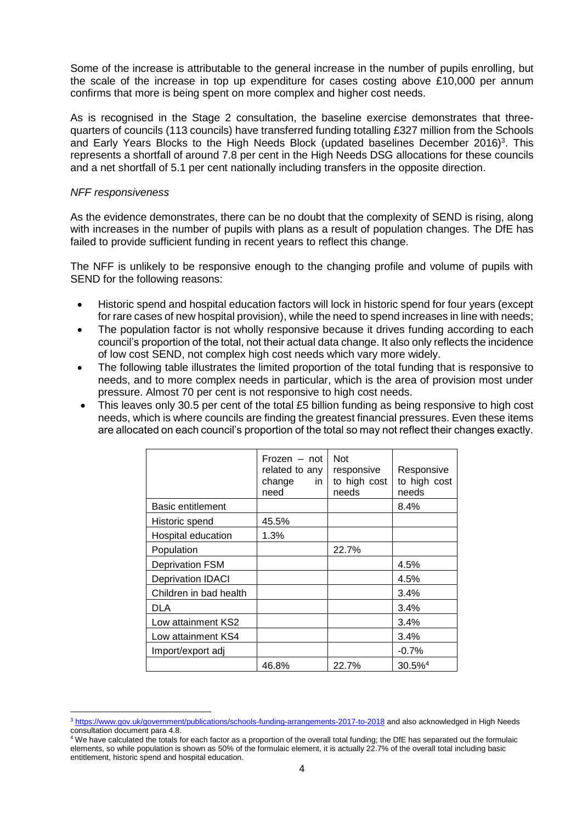Some of the increase is attributable to the general increase in the number of pupils enrolling, but the scale of the increase in top up expenditure for cases costing above £10,000 per annum confirms that more is being spent on more complex and higher cost needs.

As is recognised in the Stage 2 consultation, the baseline exercise demonstrates that threequarters of councils (113 councils) have transferred funding totalling £327 million from the Schools and Early Years Blocks to the High Needs Block (updated baselines December 2016)<sup>3</sup>. This represents a shortfall of around 7.8 per cent in the High Needs DSG allocations for these councils and a net shortfall of 5.1 per cent nationally including transfers in the opposite direction.

### *NFF responsiveness*

**.** 

As the evidence demonstrates, there can be no doubt that the complexity of SEND is rising, along with increases in the number of pupils with plans as a result of population changes. The DfE has failed to provide sufficient funding in recent years to reflect this change.

The NFF is unlikely to be responsive enough to the changing profile and volume of pupils with SEND for the following reasons:

- Historic spend and hospital education factors will lock in historic spend for four years (except for rare cases of new hospital provision), while the need to spend increases in line with needs;
- The population factor is not wholly responsive because it drives funding according to each council's proportion of the total, not their actual data change. It also only reflects the incidence of low cost SEND, not complex high cost needs which vary more widely.
- The following table illustrates the limited proportion of the total funding that is responsive to needs, and to more complex needs in particular, which is the area of provision most under pressure. Almost 70 per cent is not responsive to high cost needs.
- This leaves only 30.5 per cent of the total £5 billion funding as being responsive to high cost needs, which is where councils are finding the greatest financial pressures. Even these items are allocated on each council's proportion of the total so may not reflect their changes exactly.

|                          | Frozen – not<br>related to any<br>change<br>in.<br>need | <b>Not</b><br>responsive<br>to high cost<br>needs | Responsive<br>to high cost<br>needs |
|--------------------------|---------------------------------------------------------|---------------------------------------------------|-------------------------------------|
| <b>Basic entitlement</b> |                                                         |                                                   | 8.4%                                |
| Historic spend           | 45.5%                                                   |                                                   |                                     |
| Hospital education       | 1.3%                                                    |                                                   |                                     |
| Population               |                                                         | 22.7%                                             |                                     |
| <b>Deprivation FSM</b>   |                                                         |                                                   | 4.5%                                |
| <b>Deprivation IDACI</b> |                                                         |                                                   | 4.5%                                |
| Children in bad health   |                                                         |                                                   | 3.4%                                |
| DLA                      |                                                         |                                                   | 3.4%                                |
| Low attainment KS2       |                                                         |                                                   | 3.4%                                |
| Low attainment KS4       |                                                         |                                                   | 3.4%                                |
| Import/export adj        |                                                         |                                                   | $-0.7%$                             |
|                          | 46.8%                                                   | 22.7%                                             | $30.5\%$ <sup>4</sup>               |

<sup>3</sup> <https://www.gov.uk/government/publications/schools-funding-arrangements-2017-to-2018> and also acknowledged in High Needs consultation document para 4.8.

<sup>&</sup>lt;sup>4</sup> We have calculated the totals for each factor as a proportion of the overall total funding; the DfE has separated out the formulaic elements, so while population is shown as 50% of the formulaic element, it is actually 22.7% of the overall total including basic entitlement, historic spend and hospital education.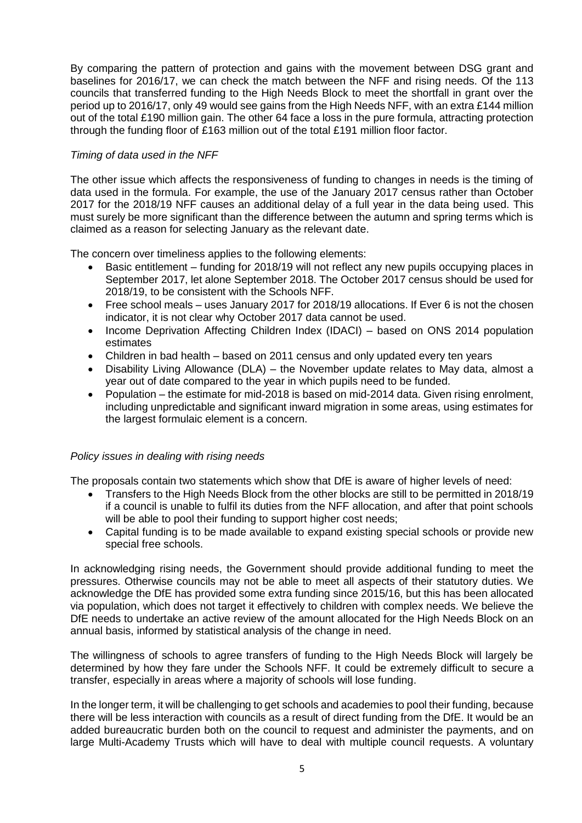By comparing the pattern of protection and gains with the movement between DSG grant and baselines for 2016/17, we can check the match between the NFF and rising needs. Of the 113 councils that transferred funding to the High Needs Block to meet the shortfall in grant over the period up to 2016/17, only 49 would see gains from the High Needs NFF, with an extra £144 million out of the total £190 million gain. The other 64 face a loss in the pure formula, attracting protection through the funding floor of £163 million out of the total £191 million floor factor.

# *Timing of data used in the NFF*

The other issue which affects the responsiveness of funding to changes in needs is the timing of data used in the formula. For example, the use of the January 2017 census rather than October 2017 for the 2018/19 NFF causes an additional delay of a full year in the data being used. This must surely be more significant than the difference between the autumn and spring terms which is claimed as a reason for selecting January as the relevant date.

The concern over timeliness applies to the following elements:

- Basic entitlement funding for 2018/19 will not reflect any new pupils occupying places in September 2017, let alone September 2018. The October 2017 census should be used for 2018/19, to be consistent with the Schools NFF.
- Free school meals uses January 2017 for 2018/19 allocations. If Ever 6 is not the chosen indicator, it is not clear why October 2017 data cannot be used.
- Income Deprivation Affecting Children Index (IDACI) based on ONS 2014 population estimates
- Children in bad health based on 2011 census and only updated every ten years
- Disability Living Allowance (DLA) the November update relates to May data, almost a year out of date compared to the year in which pupils need to be funded.
- Population the estimate for mid-2018 is based on mid-2014 data. Given rising enrolment, including unpredictable and significant inward migration in some areas, using estimates for the largest formulaic element is a concern.

# *Policy issues in dealing with rising needs*

The proposals contain two statements which show that DfE is aware of higher levels of need:

- Transfers to the High Needs Block from the other blocks are still to be permitted in 2018/19 if a council is unable to fulfil its duties from the NFF allocation, and after that point schools will be able to pool their funding to support higher cost needs;
- Capital funding is to be made available to expand existing special schools or provide new special free schools.

In acknowledging rising needs, the Government should provide additional funding to meet the pressures. Otherwise councils may not be able to meet all aspects of their statutory duties. We acknowledge the DfE has provided some extra funding since 2015/16, but this has been allocated via population, which does not target it effectively to children with complex needs. We believe the DfE needs to undertake an active review of the amount allocated for the High Needs Block on an annual basis, informed by statistical analysis of the change in need.

The willingness of schools to agree transfers of funding to the High Needs Block will largely be determined by how they fare under the Schools NFF. It could be extremely difficult to secure a transfer, especially in areas where a majority of schools will lose funding.

In the longer term, it will be challenging to get schools and academies to pool their funding, because there will be less interaction with councils as a result of direct funding from the DfE. It would be an added bureaucratic burden both on the council to request and administer the payments, and on large Multi-Academy Trusts which will have to deal with multiple council requests. A voluntary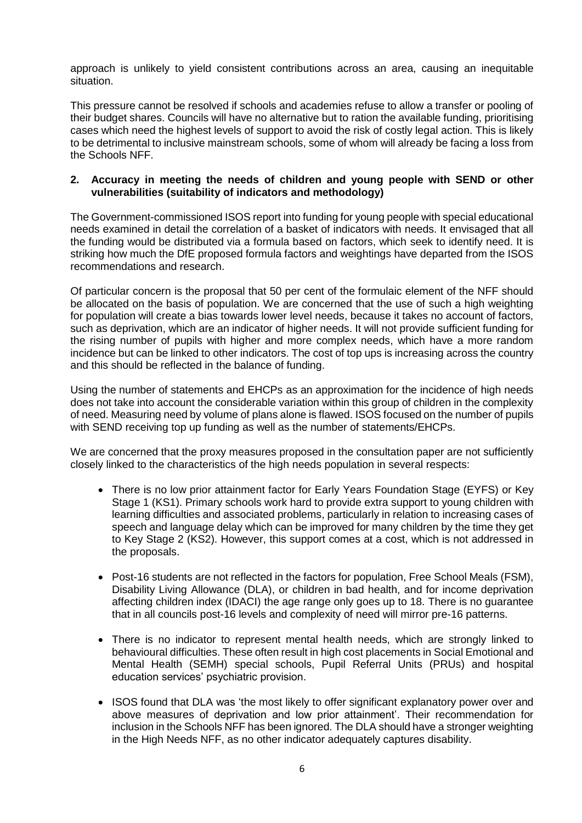approach is unlikely to yield consistent contributions across an area, causing an inequitable situation.

This pressure cannot be resolved if schools and academies refuse to allow a transfer or pooling of their budget shares. Councils will have no alternative but to ration the available funding, prioritising cases which need the highest levels of support to avoid the risk of costly legal action. This is likely to be detrimental to inclusive mainstream schools, some of whom will already be facing a loss from the Schools NFF.

# **2. Accuracy in meeting the needs of children and young people with SEND or other vulnerabilities (suitability of indicators and methodology)**

The Government-commissioned ISOS report into funding for young people with special educational needs examined in detail the correlation of a basket of indicators with needs. It envisaged that all the funding would be distributed via a formula based on factors, which seek to identify need. It is striking how much the DfE proposed formula factors and weightings have departed from the ISOS recommendations and research.

Of particular concern is the proposal that 50 per cent of the formulaic element of the NFF should be allocated on the basis of population. We are concerned that the use of such a high weighting for population will create a bias towards lower level needs, because it takes no account of factors, such as deprivation, which are an indicator of higher needs. It will not provide sufficient funding for the rising number of pupils with higher and more complex needs, which have a more random incidence but can be linked to other indicators. The cost of top ups is increasing across the country and this should be reflected in the balance of funding.

Using the number of statements and EHCPs as an approximation for the incidence of high needs does not take into account the considerable variation within this group of children in the complexity of need. Measuring need by volume of plans alone is flawed. ISOS focused on the number of pupils with SEND receiving top up funding as well as the number of statements/EHCPs.

We are concerned that the proxy measures proposed in the consultation paper are not sufficiently closely linked to the characteristics of the high needs population in several respects:

- There is no low prior attainment factor for Early Years Foundation Stage (EYFS) or Key Stage 1 (KS1). Primary schools work hard to provide extra support to young children with learning difficulties and associated problems, particularly in relation to increasing cases of speech and language delay which can be improved for many children by the time they get to Key Stage 2 (KS2). However, this support comes at a cost, which is not addressed in the proposals.
- Post-16 students are not reflected in the factors for population, Free School Meals (FSM), Disability Living Allowance (DLA), or children in bad health, and for income deprivation affecting children index (IDACI) the age range only goes up to 18. There is no guarantee that in all councils post-16 levels and complexity of need will mirror pre-16 patterns.
- There is no indicator to represent mental health needs, which are strongly linked to behavioural difficulties. These often result in high cost placements in Social Emotional and Mental Health (SEMH) special schools, Pupil Referral Units (PRUs) and hospital education services' psychiatric provision.
- ISOS found that DLA was 'the most likely to offer significant explanatory power over and above measures of deprivation and low prior attainment'. Their recommendation for inclusion in the Schools NFF has been ignored. The DLA should have a stronger weighting in the High Needs NFF, as no other indicator adequately captures disability.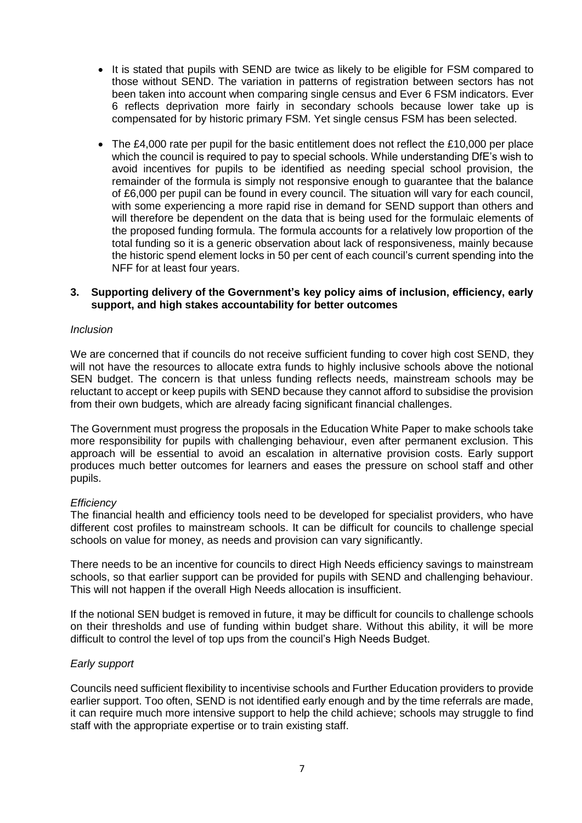- It is stated that pupils with SEND are twice as likely to be eligible for FSM compared to those without SEND. The variation in patterns of registration between sectors has not been taken into account when comparing single census and Ever 6 FSM indicators. Ever 6 reflects deprivation more fairly in secondary schools because lower take up is compensated for by historic primary FSM. Yet single census FSM has been selected.
- The £4,000 rate per pupil for the basic entitlement does not reflect the £10,000 per place which the council is required to pay to special schools. While understanding DfE's wish to avoid incentives for pupils to be identified as needing special school provision, the remainder of the formula is simply not responsive enough to guarantee that the balance of £6,000 per pupil can be found in every council. The situation will vary for each council, with some experiencing a more rapid rise in demand for SEND support than others and will therefore be dependent on the data that is being used for the formulaic elements of the proposed funding formula. The formula accounts for a relatively low proportion of the total funding so it is a generic observation about lack of responsiveness, mainly because the historic spend element locks in 50 per cent of each council's current spending into the NFF for at least four years.

#### **3. Supporting delivery of the Government's key policy aims of inclusion, efficiency, early support, and high stakes accountability for better outcomes**

### *Inclusion*

We are concerned that if councils do not receive sufficient funding to cover high cost SEND, they will not have the resources to allocate extra funds to highly inclusive schools above the notional SEN budget. The concern is that unless funding reflects needs, mainstream schools may be reluctant to accept or keep pupils with SEND because they cannot afford to subsidise the provision from their own budgets, which are already facing significant financial challenges.

The Government must progress the proposals in the Education White Paper to make schools take more responsibility for pupils with challenging behaviour, even after permanent exclusion. This approach will be essential to avoid an escalation in alternative provision costs. Early support produces much better outcomes for learners and eases the pressure on school staff and other pupils.

#### *Efficiency*

The financial health and efficiency tools need to be developed for specialist providers, who have different cost profiles to mainstream schools. It can be difficult for councils to challenge special schools on value for money, as needs and provision can vary significantly.

There needs to be an incentive for councils to direct High Needs efficiency savings to mainstream schools, so that earlier support can be provided for pupils with SEND and challenging behaviour. This will not happen if the overall High Needs allocation is insufficient.

If the notional SEN budget is removed in future, it may be difficult for councils to challenge schools on their thresholds and use of funding within budget share. Without this ability, it will be more difficult to control the level of top ups from the council's High Needs Budget.

#### *Early support*

Councils need sufficient flexibility to incentivise schools and Further Education providers to provide earlier support. Too often, SEND is not identified early enough and by the time referrals are made, it can require much more intensive support to help the child achieve; schools may struggle to find staff with the appropriate expertise or to train existing staff.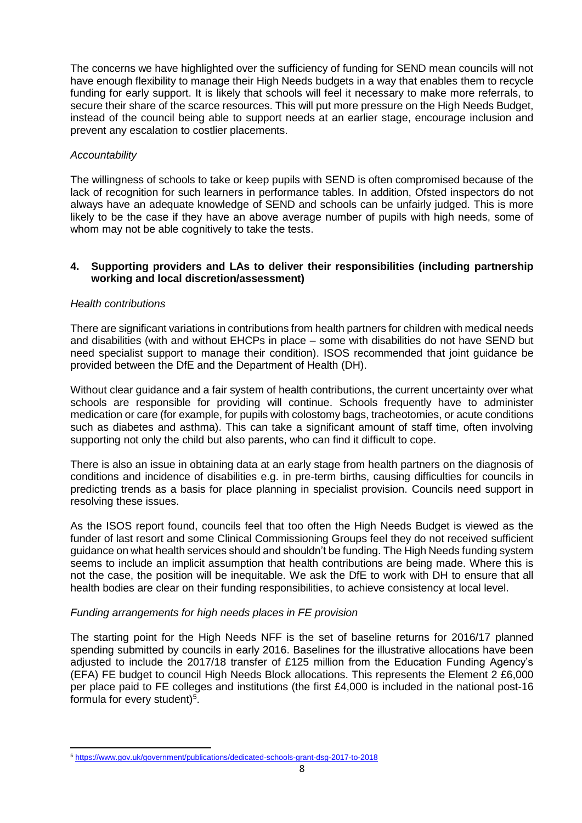The concerns we have highlighted over the sufficiency of funding for SEND mean councils will not have enough flexibility to manage their High Needs budgets in a way that enables them to recycle funding for early support. It is likely that schools will feel it necessary to make more referrals, to secure their share of the scarce resources. This will put more pressure on the High Needs Budget, instead of the council being able to support needs at an earlier stage, encourage inclusion and prevent any escalation to costlier placements.

# *Accountability*

The willingness of schools to take or keep pupils with SEND is often compromised because of the lack of recognition for such learners in performance tables. In addition, Ofsted inspectors do not always have an adequate knowledge of SEND and schools can be unfairly judged. This is more likely to be the case if they have an above average number of pupils with high needs, some of whom may not be able cognitively to take the tests.

### **4. Supporting providers and LAs to deliver their responsibilities (including partnership working and local discretion/assessment)**

# *Health contributions*

There are significant variations in contributions from health partners for children with medical needs and disabilities (with and without EHCPs in place – some with disabilities do not have SEND but need specialist support to manage their condition). ISOS recommended that joint guidance be provided between the DfE and the Department of Health (DH).

Without clear guidance and a fair system of health contributions, the current uncertainty over what schools are responsible for providing will continue. Schools frequently have to administer medication or care (for example, for pupils with colostomy bags, tracheotomies, or acute conditions such as diabetes and asthma). This can take a significant amount of staff time, often involving supporting not only the child but also parents, who can find it difficult to cope.

There is also an issue in obtaining data at an early stage from health partners on the diagnosis of conditions and incidence of disabilities e.g. in pre-term births, causing difficulties for councils in predicting trends as a basis for place planning in specialist provision. Councils need support in resolving these issues.

As the ISOS report found, councils feel that too often the High Needs Budget is viewed as the funder of last resort and some Clinical Commissioning Groups feel they do not received sufficient guidance on what health services should and shouldn't be funding. The High Needs funding system seems to include an implicit assumption that health contributions are being made. Where this is not the case, the position will be inequitable. We ask the DfE to work with DH to ensure that all health bodies are clear on their funding responsibilities, to achieve consistency at local level.

# *Funding arrangements for high needs places in FE provision*

The starting point for the High Needs NFF is the set of baseline returns for 2016/17 planned spending submitted by councils in early 2016. Baselines for the illustrative allocations have been adjusted to include the 2017/18 transfer of £125 million from the Education Funding Agency's (EFA) FE budget to council High Needs Block allocations. This represents the Element 2 £6,000 per place paid to FE colleges and institutions (the first £4,000 is included in the national post-16 formula for every student)<sup>5</sup>.

**<sup>.</sup>** <sup>5</sup> <https://www.gov.uk/government/publications/dedicated-schools-grant-dsg-2017-to-2018>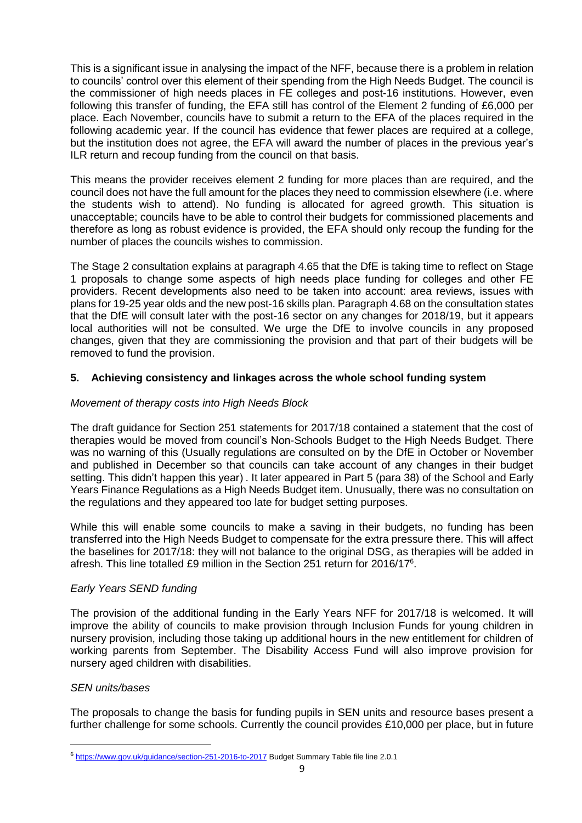This is a significant issue in analysing the impact of the NFF, because there is a problem in relation to councils' control over this element of their spending from the High Needs Budget. The council is the commissioner of high needs places in FE colleges and post-16 institutions. However, even following this transfer of funding, the EFA still has control of the Element 2 funding of £6,000 per place. Each November, councils have to submit a return to the EFA of the places required in the following academic year. If the council has evidence that fewer places are required at a college, but the institution does not agree, the EFA will award the number of places in the previous year's ILR return and recoup funding from the council on that basis.

This means the provider receives element 2 funding for more places than are required, and the council does not have the full amount for the places they need to commission elsewhere (i.e. where the students wish to attend). No funding is allocated for agreed growth. This situation is unacceptable; councils have to be able to control their budgets for commissioned placements and therefore as long as robust evidence is provided, the EFA should only recoup the funding for the number of places the councils wishes to commission.

The Stage 2 consultation explains at paragraph 4.65 that the DfE is taking time to reflect on Stage 1 proposals to change some aspects of high needs place funding for colleges and other FE providers. Recent developments also need to be taken into account: area reviews, issues with plans for 19-25 year olds and the new post-16 skills plan. Paragraph 4.68 on the consultation states that the DfE will consult later with the post-16 sector on any changes for 2018/19, but it appears local authorities will not be consulted. We urge the DfE to involve councils in any proposed changes, given that they are commissioning the provision and that part of their budgets will be removed to fund the provision.

# **5. Achieving consistency and linkages across the whole school funding system**

# *Movement of therapy costs into High Needs Block*

The draft guidance for Section 251 statements for 2017/18 contained a statement that the cost of therapies would be moved from council's Non-Schools Budget to the High Needs Budget. There was no warning of this (Usually regulations are consulted on by the DfE in October or November and published in December so that councils can take account of any changes in their budget setting. This didn't happen this year) . It later appeared in Part 5 (para 38) of the School and Early Years Finance Regulations as a High Needs Budget item. Unusually, there was no consultation on the regulations and they appeared too late for budget setting purposes.

While this will enable some councils to make a saving in their budgets, no funding has been transferred into the High Needs Budget to compensate for the extra pressure there. This will affect the baselines for 2017/18: they will not balance to the original DSG, as therapies will be added in afresh. This line totalled £9 million in the Section 251 return for 2016/17<sup>6</sup>.

# *Early Years SEND funding*

The provision of the additional funding in the Early Years NFF for 2017/18 is welcomed. It will improve the ability of councils to make provision through Inclusion Funds for young children in nursery provision, including those taking up additional hours in the new entitlement for children of working parents from September. The Disability Access Fund will also improve provision for nursery aged children with disabilities.

# *SEN units/bases*

**.** 

The proposals to change the basis for funding pupils in SEN units and resource bases present a further challenge for some schools. Currently the council provides £10,000 per place, but in future

<sup>&</sup>lt;sup>6</sup> <https://www.gov.uk/guidance/section-251-2016-to-2017> Budget Summary Table file line 2.0.1